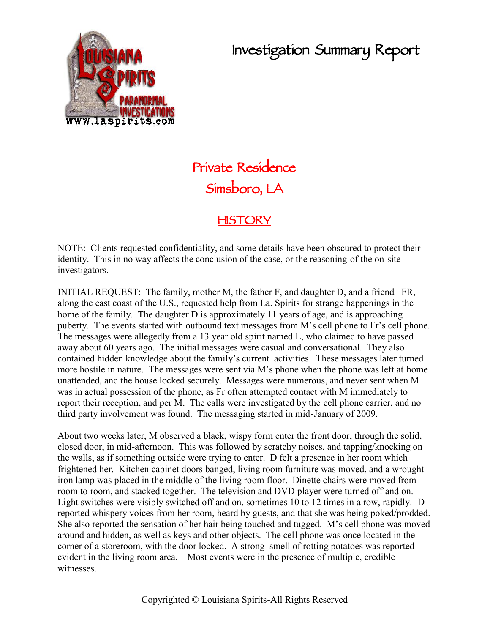# **Investigation Summary Report**



# **Private Residence Simsboro, LA**

## **HISTORY**

NOTE: Clients requested confidentiality, and some details have been obscured to protect their identity. This in no way affects the conclusion of the case, or the reasoning of the on-site investigators.

INITIAL REQUEST: The family, mother M, the father F, and daughter D, and a friend FR, along the east coast of the U.S., requested help from La. Spirits for strange happenings in the home of the family. The daughter D is approximately 11 years of age, and is approaching puberty. The events started with outbound text messages from M's cell phone to Fr's cell phone. The messages were allegedly from a 13 year old spirit named L, who claimed to have passed away about 60 years ago. The initial messages were casual and conversational. They also contained hidden knowledge about the family's current activities. These messages later turned more hostile in nature. The messages were sent via M's phone when the phone was left at home unattended, and the house locked securely. Messages were numerous, and never sent when M was in actual possession of the phone, as Fr often attempted contact with M immediately to report their reception, and per M. The calls were investigated by the cell phone carrier, and no third party involvement was found. The messaging started in mid-January of 2009.

About two weeks later, M observed a black, wispy form enter the front door, through the solid, closed door, in mid-afternoon. This was followed by scratchy noises, and tapping/knocking on the walls, as if something outside were trying to enter. D felt a presence in her room which frightened her. Kitchen cabinet doors banged, living room furniture was moved, and a wrought iron lamp was placed in the middle of the living room floor. Dinette chairs were moved from room to room, and stacked together. The television and DVD player were turned off and on. Light switches were visibly switched off and on, sometimes 10 to 12 times in a row, rapidly. D reported whispery voices from her room, heard by guests, and that she was being poked/prodded. She also reported the sensation of her hair being touched and tugged. M's cell phone was moved around and hidden, as well as keys and other objects. The cell phone was once located in the corner of a storeroom, with the door locked. A strong smell of rotting potatoes was reported evident in the living room area. Most events were in the presence of multiple, credible witnesses.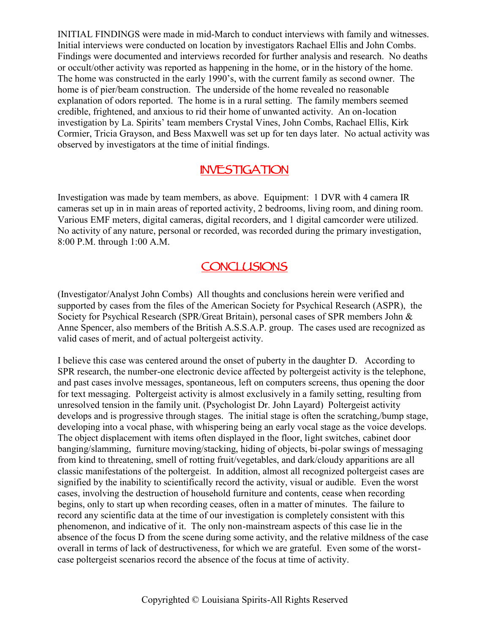INITIAL FINDINGS were made in mid-March to conduct interviews with family and witnesses. Initial interviews were conducted on location by investigators Rachael Ellis and John Combs. Findings were documented and interviews recorded for further analysis and research. No deaths or occult/other activity was reported as happening in the home, or in the history of the home. The home was constructed in the early 1990's, with the current family as second owner. The home is of pier/beam construction. The underside of the home revealed no reasonable explanation of odors reported. The home is in a rural setting. The family members seemed credible, frightened, and anxious to rid their home of unwanted activity. An on-location investigation by La. Spirits' team members Crystal Vines, John Combs, Rachael Ellis, Kirk Cormier, Tricia Grayson, and Bess Maxwell was set up for ten days later. No actual activity was observed by investigators at the time of initial findings.

#### **INVESTIGATION**

Investigation was made by team members, as above. Equipment: 1 DVR with 4 camera IR cameras set up in in main areas of reported activity, 2 bedrooms, living room, and dining room. Various EMF meters, digital cameras, digital recorders, and 1 digital camcorder were utilized. No activity of any nature, personal or recorded, was recorded during the primary investigation, 8:00 P.M. through 1:00 A.M.

### **CONCLUSIONS**

(Investigator/Analyst John Combs) All thoughts and conclusions herein were verified and supported by cases from the files of the American Society for Psychical Research (ASPR), the Society for Psychical Research (SPR/Great Britain), personal cases of SPR members John & Anne Spencer, also members of the British A.S.S.A.P. group. The cases used are recognized as valid cases of merit, and of actual poltergeist activity.

I believe this case was centered around the onset of puberty in the daughter D. According to SPR research, the number-one electronic device affected by poltergeist activity is the telephone, and past cases involve messages, spontaneous, left on computers screens, thus opening the door for text messaging. Poltergeist activity is almost exclusively in a family setting, resulting from unresolved tension in the family unit. (Psychologist Dr. John Layard) Poltergeist activity develops and is progressive through stages. The initial stage is often the scratching,/bump stage, developing into a vocal phase, with whispering being an early vocal stage as the voice develops. The object displacement with items often displayed in the floor, light switches, cabinet door banging/slamming, furniture moving/stacking, hiding of objects, bi-polar swings of messaging from kind to threatening, smell of rotting fruit/vegetables, and dark/cloudy apparitions are all classic manifestations of the poltergeist. In addition, almost all recognized poltergeist cases are signified by the inability to scientifically record the activity, visual or audible. Even the worst cases, involving the destruction of household furniture and contents, cease when recording begins, only to start up when recording ceases, often in a matter of minutes. The failure to record any scientific data at the time of our investigation is completely consistent with this phenomenon, and indicative of it. The only non-mainstream aspects of this case lie in the absence of the focus D from the scene during some activity, and the relative mildness of the case overall in terms of lack of destructiveness, for which we are grateful. Even some of the worst case poltergeist scenarios record the absence of the focus at time of activity.